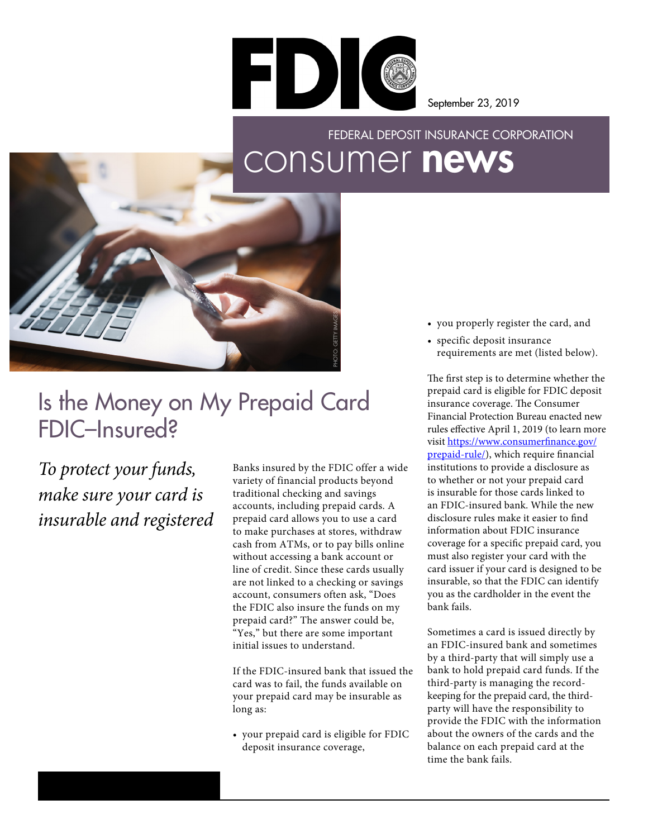

September 23, 2019

## consumer news FEDERAL DEPOSIT INSURANCE CORPORATION



## Is the Money on My Prepaid Card FDIC–Insured?

*To protect your funds, make sure your card is insurable and registered*

Banks insured by the FDIC offer a wide variety of financial products beyond traditional checking and savings accounts, including prepaid cards. A prepaid card allows you to use a card to make purchases at stores, withdraw cash from ATMs, or to pay bills online without accessing a bank account or line of credit. Since these cards usually are not linked to a checking or savings account, consumers often ask, "Does the FDIC also insure the funds on my prepaid card?" The answer could be, "Yes," but there are some important initial issues to understand.

If the FDIC-insured bank that issued the card was to fail, the funds available on your prepaid card may be insurable as long as:

• your prepaid card is eligible for FDIC deposit insurance coverage,

- you properly register the card, and
- specific deposit insurance requirements are met (listed below).

The first step is to determine whether the prepaid card is eligible for FDIC deposit insurance coverage. The Consumer Financial Protection Bureau enacted new rules effective April 1, 2019 (to learn more visit [https://www.consumerfinance.gov/](https://www.consumerfinance.gov/prepaid-rule/) [prepaid-rule/\)](https://www.consumerfinance.gov/prepaid-rule/), which require financial institutions to provide a disclosure as to whether or not your prepaid card is insurable for those cards linked to an FDIC-insured bank. While the new disclosure rules make it easier to find information about FDIC insurance coverage for a specific prepaid card, you must also register your card with the card issuer if your card is designed to be insurable, so that the FDIC can identify you as the cardholder in the event the bank fails.

Sometimes a card is issued directly by an FDIC-insured bank and sometimes by a third-party that will simply use a bank to hold prepaid card funds. If the third-party is managing the recordkeeping for the prepaid card, the thirdparty will have the responsibility to provide the FDIC with the information about the owners of the cards and the balance on each prepaid card at the time the bank fails.